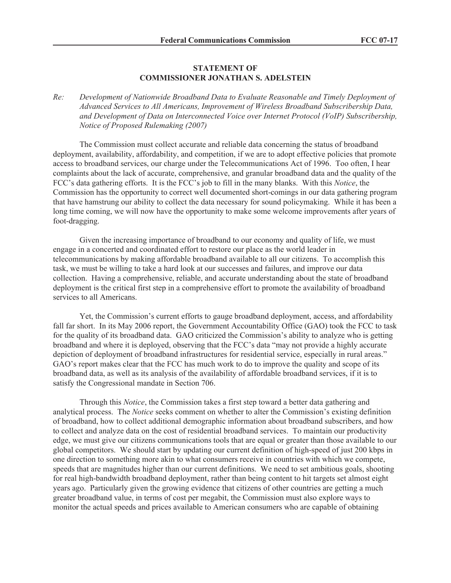## **STATEMENT OF COMMISSIONER JONATHAN S. ADELSTEIN**

*Re: Development of Nationwide Broadband Data to Evaluate Reasonable and Timely Deployment of Advanced Services to All Americans, Improvement of Wireless Broadband Subscribership Data, and Development of Data on Interconnected Voice over Internet Protocol (VoIP) Subscribership, Notice of Proposed Rulemaking (2007)*

The Commission must collect accurate and reliable data concerning the status of broadband deployment, availability, affordability, and competition, if we are to adopt effective policies that promote access to broadband services, our charge under the Telecommunications Act of 1996. Too often, I hear complaints about the lack of accurate, comprehensive, and granular broadband data and the quality of the FCC's data gathering efforts. It is the FCC's job to fill in the many blanks. With this *Notice*, the Commission has the opportunity to correct well documented short-comings in our data gathering program that have hamstrung our ability to collect the data necessary for sound policymaking. While it has been a long time coming, we will now have the opportunity to make some welcome improvements after years of foot-dragging.

Given the increasing importance of broadband to our economy and quality of life, we must engage in a concerted and coordinated effort to restore our place as the world leader in telecommunications by making affordable broadband available to all our citizens. To accomplish this task, we must be willing to take a hard look at our successes and failures, and improve our data collection. Having a comprehensive, reliable, and accurate understanding about the state of broadband deployment is the critical first step in a comprehensive effort to promote the availability of broadband services to all Americans.

Yet, the Commission's current efforts to gauge broadband deployment, access, and affordability fall far short. In its May 2006 report, the Government Accountability Office (GAO) took the FCC to task for the quality of its broadband data. GAO criticized the Commission's ability to analyze who is getting broadband and where it is deployed, observing that the FCC's data "may not provide a highly accurate depiction of deployment of broadband infrastructures for residential service, especially in rural areas." GAO's report makes clear that the FCC has much work to do to improve the quality and scope of its broadband data, as well as its analysis of the availability of affordable broadband services, if it is to satisfy the Congressional mandate in Section 706.

Through this *Notice*, the Commission takes a first step toward a better data gathering and analytical process. The *Notice* seeks comment on whether to alter the Commission's existing definition of broadband, how to collect additional demographic information about broadband subscribers, and how to collect and analyze data on the cost of residential broadband services. To maintain our productivity edge, we must give our citizens communications tools that are equal or greater than those available to our global competitors. We should start by updating our current definition of high-speed of just 200 kbps in one direction to something more akin to what consumers receive in countries with which we compete, speeds that are magnitudes higher than our current definitions. We need to set ambitious goals, shooting for real high-bandwidth broadband deployment, rather than being content to hit targets set almost eight years ago. Particularly given the growing evidence that citizens of other countries are getting a much greater broadband value, in terms of cost per megabit, the Commission must also explore ways to monitor the actual speeds and prices available to American consumers who are capable of obtaining